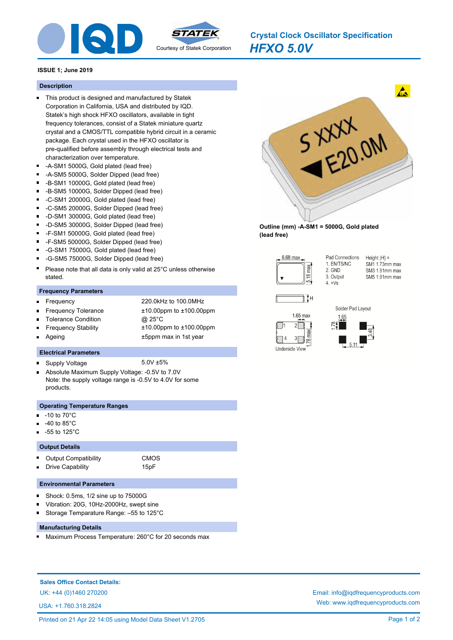

*HFXO 5.0V* **Crystal Clock Oscillator Specification**

# **ISSUE 1; June 2019**

#### **Description**

- This product is designed and manufactured by Statek Corporation in California, USA and distributed by IQD. Statek's high shock HFXO oscillators, available in tight frequency tolerances, consist of a Statek miniature quartz crystal and a CMOS/TTL compatible hybrid circuit in a ceramic package. Each crystal used in the HFXO oscillator is pre-qualified before assembly through electrical tests and characterization over temperature.
- -A-SM1 5000G, Gold plated (lead free)
- -A-SM5 5000G, Solder Dipped (lead free)
- -B-SM1 10000G, Gold plated (lead free)  $\blacksquare$
- $\blacksquare$ -B-SM5 10000G, Solder Dipped (lead free)
- $\blacksquare$ -C-SM1 20000G, Gold plated (lead free)
- -C-SM5 20000G, Solder Dipped (lead free)  $\blacksquare$
- -D-SM1 30000G, Gold plated (lead free)
- -D-SM5 30000G, Solder Dipped (lead free)
- $\blacksquare$ -F-SM1 50000G, Gold plated (lead free)
- $\blacksquare$ -F-SM5 50000G, Solder Dipped (lead free)
- -G-SM1 75000G, Gold plated (lead free)
- $\blacksquare$ -G-SM5 75000G, Solder Dipped (lead free)
- Please note that all data is only valid at 25°C unless otherwise stated.

#### **Frequency Parameters**

Ξ

 $\blacksquare$ 

Ē

 $\blacksquare$ 

- Frequency 220.0kHz to 100.0MHz
- Frequency Tolerance ±10.00ppm to ±100.00ppm
- Tolerance Condition @ 25°C
- Frequency Stability ±10.00ppm to ±100.00ppm
- Ageing the state of the state of the state of the state of the state of the state of the state of the state of the state of the state of the state of the state of the state of the state of the state of the state of the sta

## **Electrical Parameters**

- Supply Voltage 5.0V ±5%
- Absolute Maximum Supply Voltage: -0.5V to 7.0V  $\blacksquare$ Note: the supply voltage range is -0.5V to 4.0V for some products.

### **Operating Temperature Ranges**

- -10 to 70°C
- -40 to 85°C
- -55 to 125°C

#### **Output Details**

Output Compatibility **CMOS** Drive Capability 15pF

# **Environmental Parameters**

- $\blacksquare$ Shock: 0.5ms, 1/2 sine up to 75000G
- Vibration: 20G, 10Hz-2000Hz, swept sine
- Storage Temparature Range: –55 to 125°C Ē

## **Manufacturing Details**

Maximum Process Temperature: 260°C for 20 seconds max

**Sales Office Contact Details:**

USA: +1.760.318.2824



**Outline (mm) -A-SM1 = 5000G, Gold plated (lead free)**



Pad Connections  $Height(H) =$ 1. EN/TS/NC SM1 1.73mm max 2. GND SM3 1.91mm max 3. Output SM5 1.91mm max  $4 +\sqrt{8}$ 







UK: +44 (0)1460 270200 Email: info@iqdfrequencyproducts.com Web: www.iqdfrequencyproducts.com